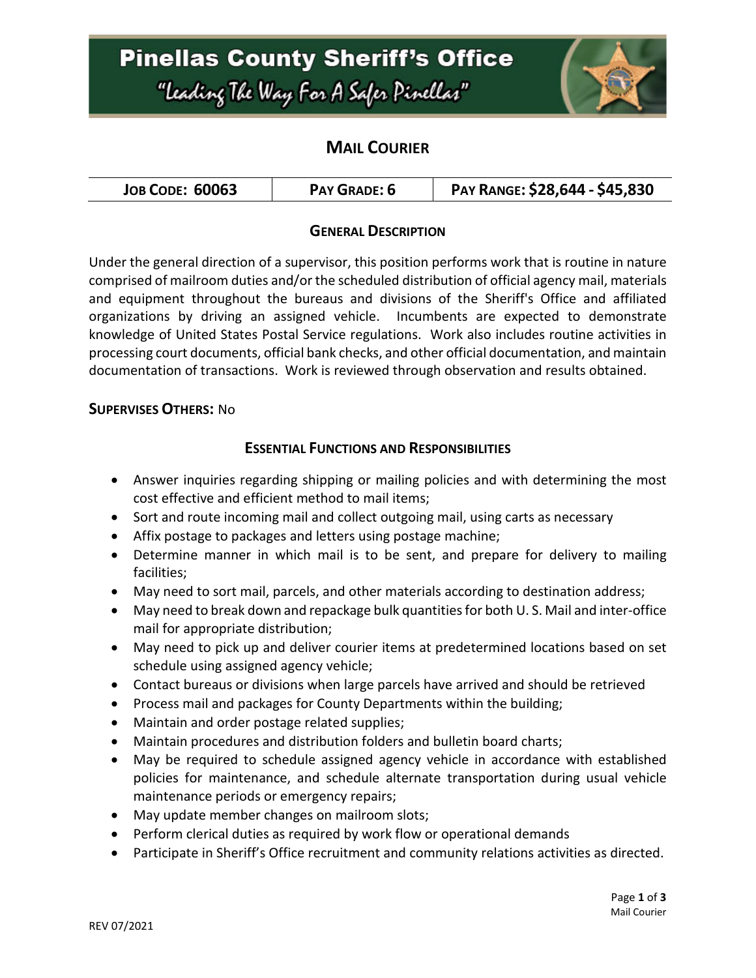# **Pinellas County Sheriff's Office** "Leading The Way For A Safer Pinellar"



### **MAIL COURIER**

| <b>JOB CODE: 60063</b> | PAY GRADE: 6 | PAY RANGE: \$28,644 - \$45,830 |
|------------------------|--------------|--------------------------------|
|------------------------|--------------|--------------------------------|

### **GENERAL DESCRIPTION**

Under the general direction of a supervisor, this position performs work that is routine in nature comprised of mailroom duties and/or the scheduled distribution of official agency mail, materials and equipment throughout the bureaus and divisions of the Sheriff's Office and affiliated organizations by driving an assigned vehicle. Incumbents are expected to demonstrate knowledge of United States Postal Service regulations. Work also includes routine activities in processing court documents, official bank checks, and other official documentation, and maintain documentation of transactions. Work is reviewed through observation and results obtained.

#### **SUPERVISES OTHERS:** No

### **ESSENTIAL FUNCTIONS AND RESPONSIBILITIES**

- Answer inquiries regarding shipping or mailing policies and with determining the most cost effective and efficient method to mail items;
- Sort and route incoming mail and collect outgoing mail, using carts as necessary
- Affix postage to packages and letters using postage machine;
- Determine manner in which mail is to be sent, and prepare for delivery to mailing facilities;
- May need to sort mail, parcels, and other materials according to destination address;
- May need to break down and repackage bulk quantities for both U. S. Mail and inter-office mail for appropriate distribution;
- May need to pick up and deliver courier items at predetermined locations based on set schedule using assigned agency vehicle;
- Contact bureaus or divisions when large parcels have arrived and should be retrieved
- Process mail and packages for County Departments within the building;
- Maintain and order postage related supplies;
- Maintain procedures and distribution folders and bulletin board charts;
- May be required to schedule assigned agency vehicle in accordance with established policies for maintenance, and schedule alternate transportation during usual vehicle maintenance periods or emergency repairs;
- May update member changes on mailroom slots;
- Perform clerical duties as required by work flow or operational demands
- Participate in Sheriff's Office recruitment and community relations activities as directed.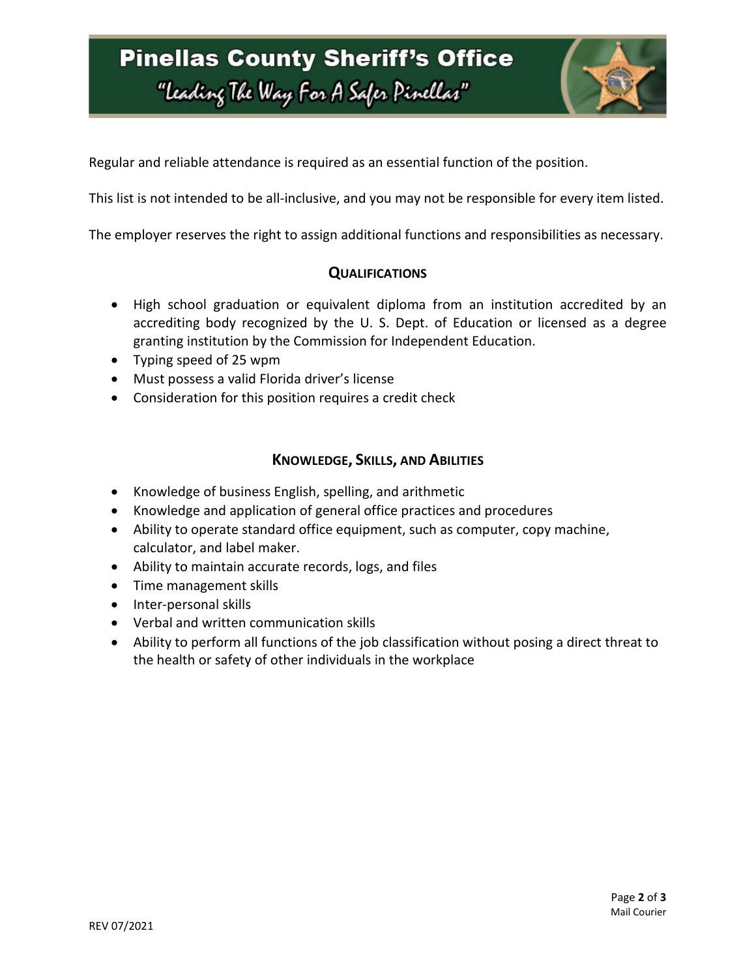# **Pinellas County Sheriff's Office** "Leading The Way For A Safer Pinellar"



Regular and reliable attendance is required as an essential function of the position.

This list is not intended to be all-inclusive, and you may not be responsible for every item listed.

The employer reserves the right to assign additional functions and responsibilities as necessary.

#### **QUALIFICATIONS**

- High school graduation or equivalent diploma from an institution accredited by an accrediting body recognized by the U. S. Dept. of Education or licensed as a degree granting institution by the Commission for Independent Education.
- Typing speed of 25 wpm
- Must possess a valid Florida driver's license
- Consideration for this position requires a credit check

### **KNOWLEDGE, SKILLS, AND ABILITIES**

- Knowledge of business English, spelling, and arithmetic
- Knowledge and application of general office practices and procedures
- Ability to operate standard office equipment, such as computer, copy machine, calculator, and label maker.
- Ability to maintain accurate records, logs, and files
- Time management skills
- Inter-personal skills
- Verbal and written communication skills
- Ability to perform all functions of the job classification without posing a direct threat to the health or safety of other individuals in the workplace